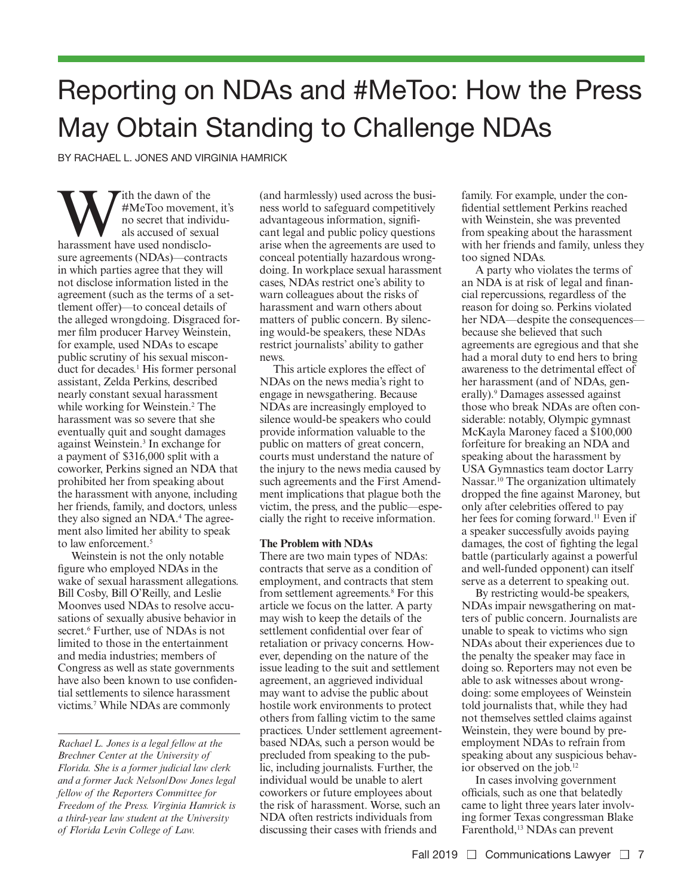# Reporting on NDAs and #MeToo: How the Press May Obtain Standing to Challenge NDAs

BY RACHAEL L. JONES AND VIRGINIA HAMRICK

With the dawn of the #MeToo movement no secret that individuals accused of sexual harassment have used nondisclo-#MeToo movement, it's no secret that individuals accused of sexual sure agreements (NDAs)—contracts in which parties agree that they will not disclose information listed in the agreement (such as the terms of a settlement offer)—to conceal details of the alleged wrongdoing. Disgraced former film producer Harvey Weinstein, for example, used NDAs to escape public scrutiny of his sexual misconduct for decades.<sup>1</sup> His former personal assistant, Zelda Perkins, described nearly constant sexual harassment while working for Weinstein.<sup>2</sup> The harassment was so severe that she eventually quit and sought damages against Weinstein.<sup>3</sup> In exchange for a payment of \$316,000 split with a coworker, Perkins signed an NDA that prohibited her from speaking about the harassment with anyone, including her friends, family, and doctors, unless they also signed an NDA.<sup>4</sup> The agreement also limited her ability to speak to law enforcement.<sup>5</sup>

Weinstein is not the only notable figure who employed NDAs in the wake of sexual harassment allegations. Bill Cosby, Bill O'Reilly, and Leslie Moonves used NDAs to resolve accusations of sexually abusive behavior in secret.<sup>6</sup> Further, use of NDAs is not limited to those in the entertainment and media industries; members of Congress as well as state governments have also been known to use confidential settlements to silence harassment victims.<sup>7</sup> While NDAs are commonly

(and harmlessly) used across the business world to safeguard competitively advantageous information, significant legal and public policy questions arise when the agreements are used to conceal potentially hazardous wrongdoing. In workplace sexual harassment cases, NDAs restrict one's ability to warn colleagues about the risks of harassment and warn others about matters of public concern. By silencing would-be speakers, these NDAs restrict journalists' ability to gather news.

This article explores the effect of NDAs on the news media's right to engage in newsgathering. Because NDAs are increasingly employed to silence would-be speakers who could provide information valuable to the public on matters of great concern, courts must understand the nature of the injury to the news media caused by such agreements and the First Amendment implications that plague both the victim, the press, and the public—especially the right to receive information.

## **The Problem with NDAs**

There are two main types of NDAs: contracts that serve as a condition of employment, and contracts that stem from settlement agreements.<sup>8</sup> For this article we focus on the latter. A party may wish to keep the details of the settlement confidential over fear of retaliation or privacy concerns. However, depending on the nature of the issue leading to the suit and settlement agreement, an aggrieved individual may want to advise the public about hostile work environments to protect others from falling victim to the same practices. Under settlement agreementbased NDAs, such a person would be precluded from speaking to the public, including journalists. Further, the individual would be unable to alert coworkers or future employees about the risk of harassment. Worse, such an NDA often restricts individuals from discussing their cases with friends and

family. For example, under the confidential settlement Perkins reached with Weinstein, she was prevented from speaking about the harassment with her friends and family, unless they too signed NDAs.

A party who violates the terms of an NDA is at risk of legal and financial repercussions, regardless of the reason for doing so. Perkins violated her NDA—despite the consequences because she believed that such agreements are egregious and that she had a moral duty to end hers to bring awareness to the detrimental effect of her harassment (and of NDAs, generally).<sup>9</sup> Damages assessed against those who break NDAs are often considerable: notably, Olympic gymnast McKayla Maroney faced a \$100,000 forfeiture for breaking an NDA and speaking about the harassment by USA Gymnastics team doctor Larry Nassar.<sup>10</sup> The organization ultimately dropped the fine against Maroney, but only after celebrities offered to pay her fees for coming forward.<sup>11</sup> Even if a speaker successfully avoids paying damages, the cost of fighting the legal battle (particularly against a powerful and well-funded opponent) can itself serve as a deterrent to speaking out.

By restricting would-be speakers, NDAs impair newsgathering on matters of public concern. Journalists are unable to speak to victims who sign NDAs about their experiences due to the penalty the speaker may face in doing so. Reporters may not even be able to ask witnesses about wrongdoing: some employees of Weinstein told journalists that, while they had not themselves settled claims against Weinstein, they were bound by preemployment NDAs to refrain from speaking about any suspicious behavior observed on the job.<sup>12</sup>

In cases involving government officials, such as one that belatedly came to light three years later involving former Texas congressman Blake Farenthold,<sup>13</sup> NDAs can prevent

*Rachael L. Jones is a legal fellow at the Brechner Center at the University of Florida. She is a former judicial law clerk and a former Jack Nelson/Dow Jones legal fellow of the Reporters Committee for Freedom of the Press. Virginia Hamrick is a third-year law student at the University of Florida Levin College of Law.*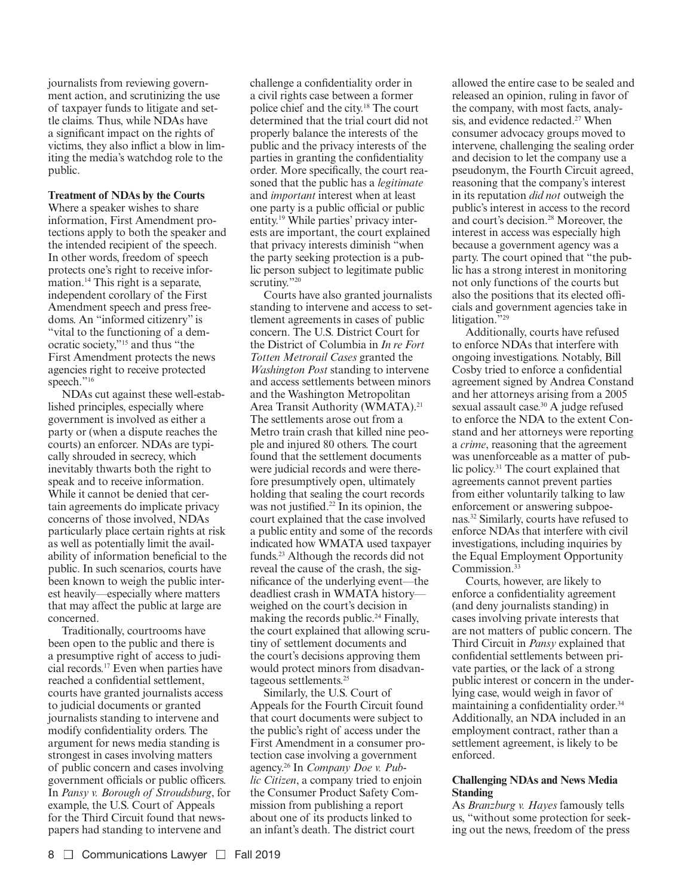journalists from reviewing government action, and scrutinizing the use of taxpayer funds to litigate and settle claims. Thus, while NDAs have a significant impact on the rights of victims, they also inflict a blow in limiting the media's watchdog role to the public.

## **Treatment of NDAs by the Courts**

Where a speaker wishes to share information, First Amendment protections apply to both the speaker and the intended recipient of the speech. In other words, freedom of speech protects one's right to receive information.14 This right is a separate, independent corollary of the First Amendment speech and press freedoms. An "informed citizenry" is "vital to the functioning of a democratic society,"15 and thus "the First Amendment protects the news agencies right to receive protected speech."<sup>16</sup>

NDAs cut against these well-established principles, especially where government is involved as either a party or (when a dispute reaches the courts) an enforcer. NDAs are typically shrouded in secrecy, which inevitably thwarts both the right to speak and to receive information. While it cannot be denied that certain agreements do implicate privacy concerns of those involved, NDAs particularly place certain rights at risk as well as potentially limit the availability of information beneficial to the public. In such scenarios, courts have been known to weigh the public interest heavily—especially where matters that may affect the public at large are concerned.

Traditionally, courtrooms have been open to the public and there is a presumptive right of access to judicial records.17 Even when parties have reached a confidential settlement, courts have granted journalists access to judicial documents or granted journalists standing to intervene and modify confidentiality orders. The argument for news media standing is strongest in cases involving matters of public concern and cases involving government officials or public officers. In *Pansy v. Borough of Stroudsburg*, for example, the U.S. Court of Appeals for the Third Circuit found that newspapers had standing to intervene and

challenge a confidentiality order in a civil rights case between a former police chief and the city.18 The court determined that the trial court did not properly balance the interests of the public and the privacy interests of the parties in granting the confidentiality order. More specifically, the court reasoned that the public has a *legitimate* and *important* interest when at least one party is a public official or public entity.19 While parties' privacy interests are important, the court explained that privacy interests diminish "when the party seeking protection is a public person subject to legitimate public scrutiny."20

Courts have also granted journalists standing to intervene and access to settlement agreements in cases of public concern. The U.S. District Court for the District of Columbia in *In re Fort Totten Metrorail Cases* granted the *Washington Post* standing to intervene and access settlements between minors and the Washington Metropolitan Area Transit Authority (WMATA).<sup>21</sup> The settlements arose out from a Metro train crash that killed nine people and injured 80 others. The court found that the settlement documents were judicial records and were therefore presumptively open, ultimately holding that sealing the court records was not justified.<sup>22</sup> In its opinion, the court explained that the case involved a public entity and some of the records indicated how WMATA used taxpayer funds.23 Although the records did not reveal the cause of the crash, the significance of the underlying event—the deadliest crash in WMATA history weighed on the court's decision in making the records public.<sup>24</sup> Finally, the court explained that allowing scrutiny of settlement documents and the court's decisions approving them would protect minors from disadvantageous settlements.<sup>25</sup>

Similarly, the U.S. Court of Appeals for the Fourth Circuit found that court documents were subject to the public's right of access under the First Amendment in a consumer protection case involving a government agency.26 In *Company Doe v. Public Citizen*, a company tried to enjoin the Consumer Product Safety Commission from publishing a report about one of its products linked to an infant's death. The district court

allowed the entire case to be sealed and released an opinion, ruling in favor of the company, with most facts, analysis, and evidence redacted.<sup>27</sup> When consumer advocacy groups moved to intervene, challenging the sealing order and decision to let the company use a pseudonym, the Fourth Circuit agreed, reasoning that the company's interest in its reputation *did not* outweigh the public's interest in access to the record and court's decision.<sup>28</sup> Moreover, the interest in access was especially high because a government agency was a party. The court opined that "the public has a strong interest in monitoring not only functions of the courts but also the positions that its elected officials and government agencies take in litigation."<sup>29</sup>

Additionally, courts have refused to enforce NDAs that interfere with ongoing investigations. Notably, Bill Cosby tried to enforce a confidential agreement signed by Andrea Constand and her attorneys arising from a 2005 sexual assault case.<sup>30</sup> A judge refused to enforce the NDA to the extent Constand and her attorneys were reporting a *crime*, reasoning that the agreement was unenforceable as a matter of public policy.31 The court explained that agreements cannot prevent parties from either voluntarily talking to law enforcement or answering subpoenas.32 Similarly, courts have refused to enforce NDAs that interfere with civil investigations, including inquiries by the Equal Employment Opportunity Commission.<sup>33</sup>

Courts, however, are likely to enforce a confidentiality agreement (and deny journalists standing) in cases involving private interests that are not matters of public concern. The Third Circuit in *Pansy* explained that confidential settlements between private parties, or the lack of a strong public interest or concern in the underlying case, would weigh in favor of maintaining a confidentiality order.<sup>34</sup> Additionally, an NDA included in an employment contract, rather than a settlement agreement, is likely to be enforced.

## **Challenging NDAs and News Media Standing**

As *Branzburg v. Hayes* famously tells us, "without some protection for seeking out the news, freedom of the press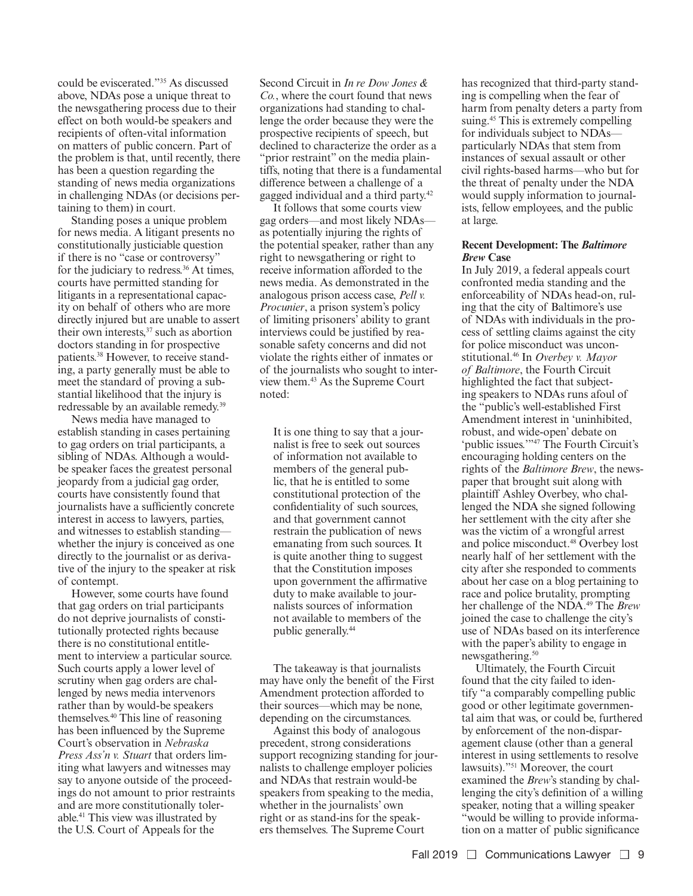could be eviscerated."35 As discussed above, NDAs pose a unique threat to the newsgathering process due to their effect on both would-be speakers and recipients of often-vital information on matters of public concern. Part of the problem is that, until recently, there has been a question regarding the standing of news media organizations in challenging NDAs (or decisions pertaining to them) in court.

Standing poses a unique problem for news media. A litigant presents no constitutionally justiciable question if there is no "case or controversy" for the judiciary to redress.<sup>36</sup> At times, courts have permitted standing for litigants in a representational capacity on behalf of others who are more directly injured but are unable to assert their own interests, $37$  such as abortion doctors standing in for prospective patients.38 However, to receive standing, a party generally must be able to meet the standard of proving a substantial likelihood that the injury is redressable by an available remedy.<sup>39</sup>

News media have managed to establish standing in cases pertaining to gag orders on trial participants, a sibling of NDAs. Although a wouldbe speaker faces the greatest personal jeopardy from a judicial gag order, courts have consistently found that journalists have a sufficiently concrete interest in access to lawyers, parties, and witnesses to establish standing whether the injury is conceived as one directly to the journalist or as derivative of the injury to the speaker at risk of contempt.

However, some courts have found that gag orders on trial participants do not deprive journalists of constitutionally protected rights because there is no constitutional entitlement to interview a particular source. Such courts apply a lower level of scrutiny when gag orders are challenged by news media intervenors rather than by would-be speakers themselves.40 This line of reasoning has been influenced by the Supreme Court's observation in *Nebraska Press Ass'n v. Stuart* that orders limiting what lawyers and witnesses may say to anyone outside of the proceedings do not amount to prior restraints and are more constitutionally tolerable.41 This view was illustrated by the U.S. Court of Appeals for the

Second Circuit in *In re Dow Jones & Co.*, where the court found that news organizations had standing to challenge the order because they were the prospective recipients of speech, but declined to characterize the order as a "prior restraint" on the media plaintiffs, noting that there is a fundamental difference between a challenge of a gagged individual and a third party.42

It follows that some courts view gag orders—and most likely NDAs as potentially injuring the rights of the potential speaker, rather than any right to newsgathering or right to receive information afforded to the news media. As demonstrated in the analogous prison access case, *Pell v. Procunier*, a prison system's policy of limiting prisoners' ability to grant interviews could be justified by reasonable safety concerns and did not violate the rights either of inmates or of the journalists who sought to interview them.43 As the Supreme Court noted:

It is one thing to say that a journalist is free to seek out sources of information not available to members of the general public, that he is entitled to some constitutional protection of the confidentiality of such sources, and that government cannot restrain the publication of news emanating from such sources. It is quite another thing to suggest that the Constitution imposes upon government the affirmative duty to make available to journalists sources of information not available to members of the public generally.44

The takeaway is that journalists may have only the benefit of the First Amendment protection afforded to their sources—which may be none, depending on the circumstances.

Against this body of analogous precedent, strong considerations support recognizing standing for journalists to challenge employer policies and NDAs that restrain would-be speakers from speaking to the media, whether in the journalists' own right or as stand-ins for the speakers themselves. The Supreme Court

has recognized that third-party standing is compelling when the fear of harm from penalty deters a party from suing.<sup>45</sup> This is extremely compelling for individuals subject to NDAs particularly NDAs that stem from instances of sexual assault or other civil rights-based harms—who but for the threat of penalty under the NDA would supply information to journalists, fellow employees, and the public at large.

### **Recent Development: The** *Baltimore Brew* **Case**

In July 2019, a federal appeals court confronted media standing and the enforceability of NDAs head-on, ruling that the city of Baltimore's use of NDAs with individuals in the process of settling claims against the city for police misconduct was unconstitutional.46 In *Overbey v. Mayor of Baltimore*, the Fourth Circuit highlighted the fact that subjecting speakers to NDAs runs afoul of the "public's well-established First Amendment interest in 'uninhibited, robust, and wide-open' debate on 'public issues.'"47 The Fourth Circuit's encouraging holding centers on the rights of the *Baltimore Brew*, the newspaper that brought suit along with plaintiff Ashley Overbey, who challenged the NDA she signed following her settlement with the city after she was the victim of a wrongful arrest and police misconduct.<sup>48</sup> Overbey lost nearly half of her settlement with the city after she responded to comments about her case on a blog pertaining to race and police brutality, prompting her challenge of the NDA.49 The *Brew* joined the case to challenge the city's use of NDAs based on its interference with the paper's ability to engage in newsgathering.<sup>50</sup>

Ultimately, the Fourth Circuit found that the city failed to identify "a comparably compelling public good or other legitimate governmental aim that was, or could be, furthered by enforcement of the non-disparagement clause (other than a general interest in using settlements to resolve lawsuits)."51 Moreover, the court examined the *Brew*'s standing by challenging the city's definition of a willing speaker, noting that a willing speaker "would be willing to provide information on a matter of public significance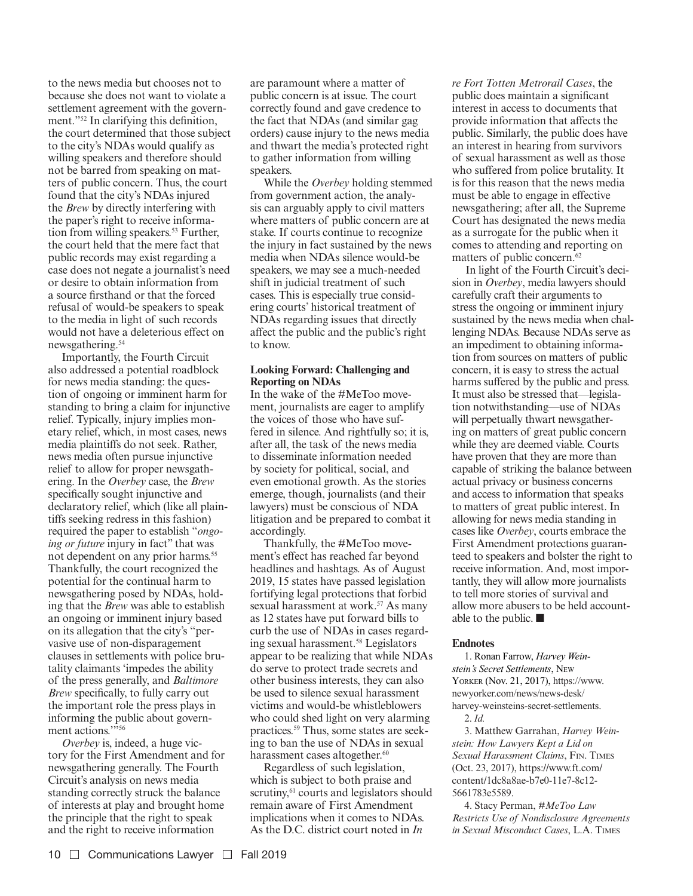to the news media but chooses not to because she does not want to violate a settlement agreement with the government."52 In clarifying this definition, the court determined that those subject to the city's NDAs would qualify as willing speakers and therefore should not be barred from speaking on matters of public concern. Thus, the court found that the city's NDAs injured the *Brew* by directly interfering with the paper's right to receive information from willing speakers.<sup>53</sup> Further, the court held that the mere fact that public records may exist regarding a case does not negate a journalist's need or desire to obtain information from a source firsthand or that the forced refusal of would-be speakers to speak to the media in light of such records would not have a deleterious effect on newsgathering.<sup>54</sup>

Importantly, the Fourth Circuit also addressed a potential roadblock for news media standing: the question of ongoing or imminent harm for standing to bring a claim for injunctive relief. Typically, injury implies monetary relief, which, in most cases, news media plaintiffs do not seek. Rather, news media often pursue injunctive relief to allow for proper newsgathering. In the *Overbey* case, the *Brew* specifically sought injunctive and declaratory relief, which (like all plaintiffs seeking redress in this fashion) required the paper to establish "*ongoing or future* injury in fact" that was not dependent on any prior harms.<sup>55</sup> Thankfully, the court recognized the potential for the continual harm to newsgathering posed by NDAs, holding that the *Brew* was able to establish an ongoing or imminent injury based on its allegation that the city's "pervasive use of non-disparagement clauses in settlements with police brutality claimants 'impedes the ability of the press generally, and *Baltimore Brew* specifically, to fully carry out the important role the press plays in informing the public about government actions."<sup>56</sup>

*Overbey* is, indeed, a huge victory for the First Amendment and for newsgathering generally. The Fourth Circuit's analysis on news media standing correctly struck the balance of interests at play and brought home the principle that the right to speak and the right to receive information

are paramount where a matter of public concern is at issue. The court correctly found and gave credence to the fact that NDAs (and similar gag orders) cause injury to the news media and thwart the media's protected right to gather information from willing speakers.

While the *Overbey* holding stemmed from government action, the analysis can arguably apply to civil matters where matters of public concern are at stake. If courts continue to recognize the injury in fact sustained by the news media when NDAs silence would-be speakers, we may see a much-needed shift in judicial treatment of such cases. This is especially true considering courts' historical treatment of NDAs regarding issues that directly affect the public and the public's right to know.

## **Looking Forward: Challenging and Reporting on NDAs**

In the wake of the #MeToo movement, journalists are eager to amplify the voices of those who have suffered in silence. And rightfully so; it is, after all, the task of the news media to disseminate information needed by society for political, social, and even emotional growth. As the stories emerge, though, journalists (and their lawyers) must be conscious of NDA litigation and be prepared to combat it accordingly.

Thankfully, the #MeToo movement's effect has reached far beyond headlines and hashtags. As of August 2019, 15 states have passed legislation fortifying legal protections that forbid sexual harassment at work.<sup>57</sup> As many as 12 states have put forward bills to curb the use of NDAs in cases regarding sexual harassment.<sup>58</sup> Legislators appear to be realizing that while NDAs do serve to protect trade secrets and other business interests, they can also be used to silence sexual harassment victims and would-be whistleblowers who could shed light on very alarming practices.59 Thus, some states are seeking to ban the use of NDAs in sexual harassment cases altogether.<sup>60</sup>

Regardless of such legislation, which is subject to both praise and scrutiny,<sup>61</sup> courts and legislators should remain aware of First Amendment implications when it comes to NDAs. As the D.C. district court noted in *In* 

*re Fort Totten Metrorail Cases*, the public does maintain a significant interest in access to documents that provide information that affects the public. Similarly, the public does have an interest in hearing from survivors of sexual harassment as well as those who suffered from police brutality. It is for this reason that the news media must be able to engage in effective newsgathering; after all, the Supreme Court has designated the news media as a surrogate for the public when it comes to attending and reporting on matters of public concern.<sup>62</sup>

In light of the Fourth Circuit's decision in *Overbey*, media lawyers should carefully craft their arguments to stress the ongoing or imminent injury sustained by the news media when challenging NDAs. Because NDAs serve as an impediment to obtaining information from sources on matters of public concern, it is easy to stress the actual harms suffered by the public and press. It must also be stressed that—legislation notwithstanding—use of NDAs will perpetually thwart newsgathering on matters of great public concern while they are deemed viable. Courts have proven that they are more than capable of striking the balance between actual privacy or business concerns and access to information that speaks to matters of great public interest. In allowing for news media standing in cases like *Overbey*, courts embrace the First Amendment protections guaranteed to speakers and bolster the right to receive information. And, most importantly, they will allow more journalists to tell more stories of survival and allow more abusers to be held accountable to the public.  $\blacksquare$ 

### **Endnotes**

1. Ronan Farrow, *Harvey Weinstein's Secret Settlements*, New Yorker (Nov. 21, 2017), https://www. newyorker.com/news/news-desk/ harvey-weinsteins-secret-settlements. 2. *Id.*

3. Matthew Garrahan, *Harvey Weinstein: How Lawyers Kept a Lid on Sexual Harassment Claims*, Fin. Times (Oct. 23, 2017), https://www.ft.com/ content/1dc8a8ae-b7e0-11e7-8c12- 5661783e5589.

4. Stacy Perman, *#MeToo Law Restricts Use of Nondisclosure Agreements in Sexual Misconduct Cases*, L.A. Times